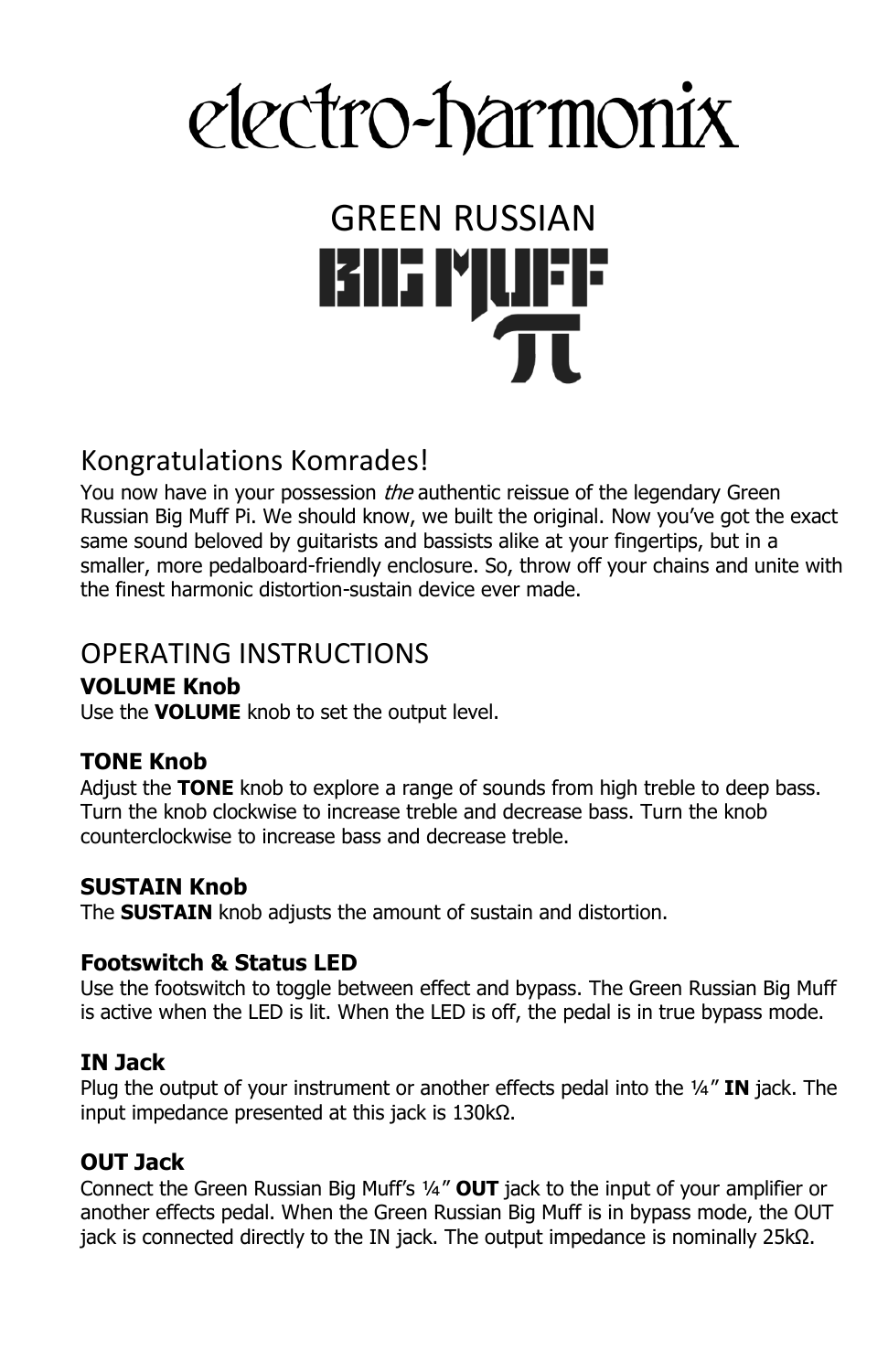## electro-harmonix

# GREEN RUSSIAN

#### Kongratulations Komrades!

You now have in your possession the authentic reissue of the legendary Green Russian Big Muff Pi. We should know, we built the original. Now you've got the exact same sound beloved by guitarists and bassists alike at your fingertips, but in a smaller, more pedalboard-friendly enclosure. So, throw off your chains and unite with the finest harmonic distortion-sustain device ever made.

#### OPERATING INSTRUCTIONS

#### **VOLUME Knob**

Use the **VOLUME** knob to set the output level.

#### **TONE Knob**

Adjust the **TONE** knob to explore a range of sounds from high treble to deep bass. Turn the knob clockwise to increase treble and decrease bass. Turn the knob counterclockwise to increase bass and decrease treble.

#### **SUSTAIN Knob**

The **SUSTAIN** knob adjusts the amount of sustain and distortion.

#### **Footswitch & Status LED**

Use the footswitch to toggle between effect and bypass. The Green Russian Big Muff is active when the LED is lit. When the LED is off, the pedal is in true bypass mode.

#### **IN Jack**

Plug the output of your instrument or another effects pedal into the ¼" **IN** jack. The input impedance presented at this jack is 130kΩ.

#### **OUT Jack**

Connect the Green Russian Big Muff's ¼" **OUT** jack to the input of your amplifier or another effects pedal. When the Green Russian Big Muff is in bypass mode, the OUT jack is connected directly to the IN jack. The output impedance is nominally 25kΩ.